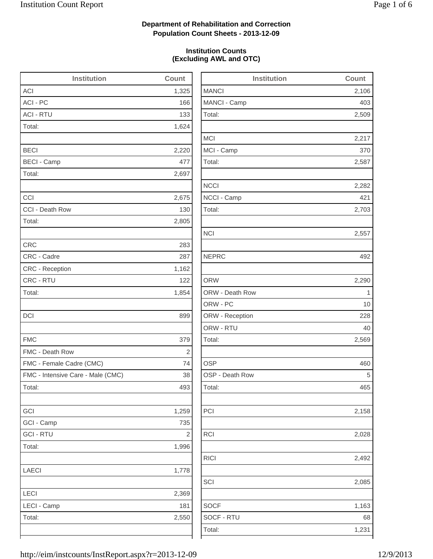2,509

2,217

2,282

2,703

2,158

2,028

2,492

1,163

### **Department of Rehabilitation and Correction Population Count Sheets - 2013-12-09**

### **Institution Counts (Excluding AWL and OTC)**

| <b>Institution</b>                | Count      | <b>Institution</b> | Count       |
|-----------------------------------|------------|--------------------|-------------|
| <b>ACI</b>                        | 1,325      | <b>MANCI</b>       | 2,106       |
| ACI - PC                          | 166        | MANCI - Camp       | 403         |
| <b>ACI - RTU</b>                  | 133        | Total:             | 2,509       |
| Total:                            | 1,624      |                    |             |
|                                   |            | <b>MCI</b>         | 2,217       |
| <b>BECI</b>                       | 2,220      | MCI - Camp         | 370         |
| <b>BECI - Camp</b>                | 477        | Total:             | 2,587       |
| Total:                            | 2,697      |                    |             |
|                                   |            | <b>NCCI</b>        | 2,282       |
| CCI                               | 2,675      | NCCI - Camp        | 421         |
| CCI - Death Row                   | 130        | Total:             | 2,703       |
| Total:                            | 2,805      |                    |             |
|                                   |            | <b>NCI</b>         | 2,557       |
| <b>CRC</b>                        | 283        |                    |             |
| CRC - Cadre                       | 287        | <b>NEPRC</b>       | 492         |
| CRC - Reception                   | 1,162      |                    |             |
| CRC - RTU                         | 122        | <b>ORW</b>         | 2,290       |
| Total:                            | 1,854      | ORW - Death Row    | $\mathbf 1$ |
|                                   |            | ORW - PC           | 10          |
| <b>DCI</b>                        | 899        | ORW - Reception    | 228         |
|                                   |            | ORW - RTU          | 40          |
| <b>FMC</b>                        | 379        | Total:             | 2,569       |
| FMC - Death Row                   | $\sqrt{2}$ |                    |             |
| FMC - Female Cadre (CMC)          | 74         | <b>OSP</b>         | 460         |
| FMC - Intensive Care - Male (CMC) | 38         | OSP - Death Row    | 5           |
| Total:                            | 493        | Total:             | 465         |
| GCI                               | 1,259      | PCI                | 2,158       |
| GCI - Camp                        | 735        |                    |             |
| <b>GCI - RTU</b>                  | $\sqrt{2}$ | RCI                | 2,028       |
| Total:                            | 1,996      |                    |             |
|                                   |            | <b>RICI</b>        | 2,492       |
| LAECI                             | 1,778      |                    |             |
|                                   |            | SCI                | 2,085       |
| LECI                              | 2,369      |                    |             |
| LECI - Camp                       | 181        | <b>SOCF</b>        | 1,163       |
| Total:                            | 2,550      | SOCF - RTU         | 68          |
|                                   |            | Total:             | 1,231       |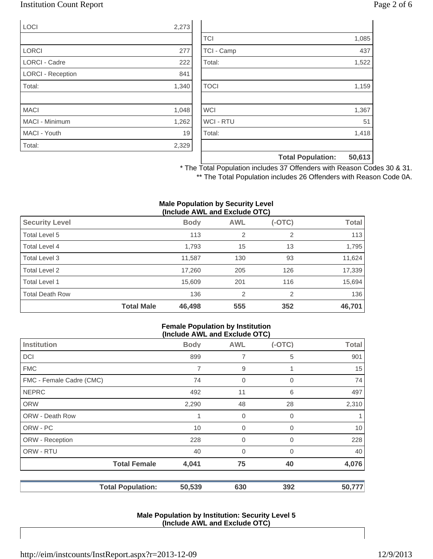### Institution Count Report Page 2 of 6

| <b>LOCI</b>              | 2,273 |
|--------------------------|-------|
|                          |       |
| <b>LORCI</b>             | 277   |
| <b>LORCI - Cadre</b>     | 222   |
| <b>LORCI - Reception</b> | 841   |
| Total:                   | 1,340 |
|                          |       |
| <b>MACI</b>              | 1,048 |
| <b>MACI - Minimum</b>    | 1,262 |
| MACI - Youth             | 19    |
| Total:                   | 2,329 |

|                  | <b>Total Population:</b> | 50,613 |
|------------------|--------------------------|--------|
|                  |                          |        |
| Total:           |                          | 1,418  |
| <b>WCI - RTU</b> |                          | 51     |
| <b>WCI</b>       |                          | 1,367  |
|                  |                          |        |
| <b>TOCI</b>      |                          | 1,159  |
|                  |                          |        |
| Total:           |                          | 1,522  |
| TCI - Camp       |                          | 437    |
| <b>TCI</b>       |                          | 1,085  |

\* The Total Population includes 37 Offenders with Reason Codes 30 & 31. \*\* The Total Population includes 26 Offenders with Reason Code 0A.

#### **Male Population by Security Level (Include AWL and Exclude OTC)**

| <b>Security Level</b>  |                   | <b>Body</b> | <b>AWL</b>     | $(-OTC)$ | <b>Total</b> |
|------------------------|-------------------|-------------|----------------|----------|--------------|
| Total Level 5          |                   | 113         | 2              | 2        | 113          |
| Total Level 4          |                   | 1,793       | 15             | 13       | 1,795        |
| Total Level 3          |                   | 11,587      | 130            | 93       | 11,624       |
| Total Level 2          |                   | 17,260      | 205            | 126      | 17,339       |
| Total Level 1          |                   | 15,609      | 201            | 116      | 15,694       |
| <b>Total Death Row</b> |                   | 136         | $\overline{2}$ | 2        | 136          |
|                        | <b>Total Male</b> | 46,498      | 555            | 352      | 46,701       |

#### **Female Population by Institution (Include AWL and Exclude OTC)**

| $(1101000)$ and the thousand $(0.0000)$ |             |                |          |              |
|-----------------------------------------|-------------|----------------|----------|--------------|
| <b>Institution</b>                      | <b>Body</b> | <b>AWL</b>     | $(-OTC)$ | <b>Total</b> |
| <b>DCI</b>                              | 899         | 7              | 5        | 901          |
| <b>FMC</b>                              | 7           | 9              |          | 15           |
| FMC - Female Cadre (CMC)                | 74          | 0              | 0        | 74           |
| <b>NEPRC</b>                            | 492         | 11             | 6        | 497          |
| <b>ORW</b>                              | 2,290       | 48             | 28       | 2,310        |
| <b>ORW - Death Row</b>                  |             | 0              | 0        | 1            |
| ORW - PC                                | 10          | $\mathbf 0$    | 0        | 10           |
| ORW - Reception                         | 228         | $\mathbf 0$    | 0        | 228          |
| ORW - RTU                               | 40          | $\overline{0}$ | $\Omega$ | 40           |
| <b>Total Female</b>                     | 4,041       | 75             | 40       | 4,076        |
| <b>Total Population:</b>                | 50,539      | 630            | 392      | 50,777       |

#### **Male Population by Institution: Security Level 5 (Include AWL and Exclude OTC)**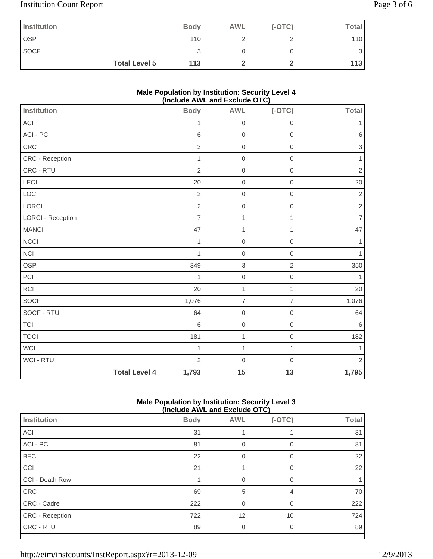# Institution Count Report Page 3 of 6

| Institution          | <b>Body</b> | <b>AWL</b> | $(-OTC)$ | <b>Total</b> |
|----------------------|-------------|------------|----------|--------------|
| <b>OSP</b>           | 110         |            |          | 110          |
| <b>SOCF</b>          |             |            |          | 3            |
| <b>Total Level 5</b> | 113         |            |          | 113          |

### **Male Population by Institution: Security Level 4 (Include AWL and Exclude OTC)**

|                          |                      | ,<br>          | , <i>.</i>     |                     |                           |
|--------------------------|----------------------|----------------|----------------|---------------------|---------------------------|
| <b>Institution</b>       |                      | <b>Body</b>    | <b>AWL</b>     | $(-OTC)$            | <b>Total</b>              |
| ACI                      |                      | 1              | $\mathbf 0$    | $\boldsymbol{0}$    | 1                         |
| $ACI - PC$               |                      | 6              | $\mathbf 0$    | $\mathbf 0$         | $\,6\,$                   |
| ${\sf CRC}$              |                      | $\mathsf 3$    | $\mathbf 0$    | $\mathbf 0$         | $\ensuremath{\mathsf{3}}$ |
| CRC - Reception          |                      | $\mathbf{1}$   | $\mathbf 0$    | $\mathbf 0$         | 1                         |
| CRC - RTU                |                      | $\overline{2}$ | $\mathbf 0$    | $\mathbf 0$         | $\sqrt{2}$                |
| LECI                     |                      | 20             | $\mbox{O}$     | $\mbox{O}$          | 20                        |
| LOCI                     |                      | $\overline{2}$ | $\mbox{O}$     | $\mathbf 0$         | $\sqrt{2}$                |
| LORCI                    |                      | $\overline{2}$ | $\mathbf 0$    | $\mathbf 0$         | $\sqrt{2}$                |
| <b>LORCI - Reception</b> |                      | $\overline{7}$ | 1              | 1                   | $\overline{7}$            |
| <b>MANCI</b>             |                      | 47             | $\mathbf{1}$   | 1                   | 47                        |
| <b>NCCI</b>              |                      | $\mathbf{1}$   | $\mathbf 0$    | $\mathsf{O}\xspace$ | $\mathbf{1}$              |
| NCI                      |                      | 1              | $\mathbf 0$    | $\mathbf 0$         | $\mathbf{1}$              |
| OSP                      |                      | 349            | 3              | $\overline{2}$      | 350                       |
| $\mathsf{PCI}$           |                      | 1              | $\mbox{O}$     | $\mathbf 0$         | 1                         |
| <b>RCI</b>               |                      | 20             | $\mathbf{1}$   | $\mathbf{1}$        | 20                        |
| SOCF                     |                      | 1,076          | $\overline{7}$ | $\overline{7}$      | 1,076                     |
| SOCF - RTU               |                      | 64             | $\mathbf 0$    | $\mathbf 0$         | 64                        |
| <b>TCI</b>               |                      | 6              | $\mathbf 0$    | $\mathbf 0$         | $\,6\,$                   |
| <b>TOCI</b>              |                      | 181            | $\mathbf{1}$   | $\mathbf 0$         | 182                       |
| <b>WCI</b>               |                      | $\mathbf{1}$   | $\mathbf{1}$   | $\mathbf{1}$        | 1                         |
| WCI - RTU                |                      | $\overline{2}$ | $\mathbf 0$    | $\mathbf 0$         | $\overline{2}$            |
|                          | <b>Total Level 4</b> | 1,793          | 15             | 13                  | 1,795                     |

### **Male Population by Institution: Security Level 3 (Include AWL and Exclude OTC)**

|                        | (include AWL and Exclude OTC) |            |             |              |  |
|------------------------|-------------------------------|------------|-------------|--------------|--|
| Institution            | <b>Body</b>                   | <b>AWL</b> | $(-OTC)$    | <b>Total</b> |  |
| <b>ACI</b>             | 31                            |            |             | 31           |  |
| ACI - PC               | 81                            | 0          | $\mathbf 0$ | 81           |  |
| <b>BECI</b>            | 22                            | 0          | $\Omega$    | 22           |  |
| CCI                    | 21                            |            | $\Omega$    | 22           |  |
| CCI - Death Row        |                               | $\Omega$   | $\Omega$    |              |  |
| CRC                    | 69                            | 5          | 4           | 70           |  |
| CRC - Cadre            | 222                           | $\Omega$   | $\Omega$    | 222          |  |
| <b>CRC</b> - Reception | 722                           | 12         | 10          | 724          |  |
| CRC - RTU              | 89                            | 0          | 0           | 89           |  |
|                        |                               |            |             |              |  |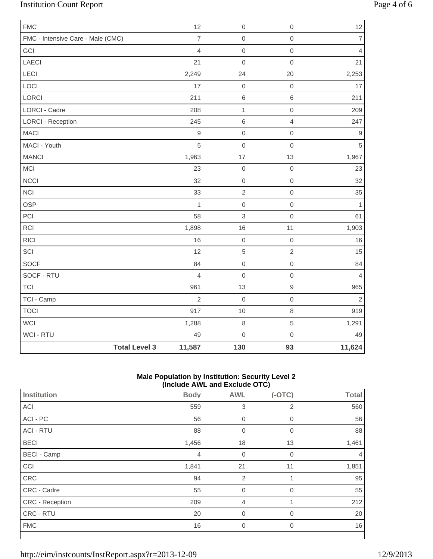# Institution Count Report Page 4 of 6

| <b>FMC</b>                        |                      | 12             | $\mathbf 0$  | $\mathbf 0$         | 12               |
|-----------------------------------|----------------------|----------------|--------------|---------------------|------------------|
| FMC - Intensive Care - Male (CMC) |                      | $\overline{7}$ | $\mathbf 0$  | $\mathsf{O}\xspace$ | $\boldsymbol{7}$ |
| GCI                               |                      | $\overline{4}$ | $\mathbf 0$  | $\mathsf{O}\xspace$ | $\overline{4}$   |
| LAECI                             |                      | 21             | $\mathbf 0$  | $\mathsf{O}\xspace$ | 21               |
| LECI                              |                      | 2,249          | 24           | 20                  | 2,253            |
| LOCI                              |                      | 17             | $\mathbf 0$  | $\mathsf{O}\xspace$ | 17               |
| LORCI                             |                      | 211            | $\,$ 6 $\,$  | $\,$ 6 $\,$         | 211              |
| <b>LORCI - Cadre</b>              |                      | 208            | $\mathbf{1}$ | $\mathbf 0$         | 209              |
| <b>LORCI - Reception</b>          |                      | 245            | $6\,$        | $\overline{4}$      | 247              |
| <b>MACI</b>                       |                      | $\mathsf g$    | $\mbox{O}$   | $\mathsf{O}\xspace$ | 9                |
| MACI - Youth                      |                      | 5              | $\mathbf 0$  | $\mathsf{O}\xspace$ | $\overline{5}$   |
| <b>MANCI</b>                      |                      | 1,963          | 17           | 13                  | 1,967            |
| MCI                               |                      | 23             | $\mathbf 0$  | $\mathsf{O}\xspace$ | 23               |
| <b>NCCI</b>                       |                      | 32             | $\mathbf 0$  | $\mathsf{O}\xspace$ | 32               |
| <b>NCI</b>                        |                      | 33             | $\sqrt{2}$   | $\mathsf{O}\xspace$ | 35               |
| <b>OSP</b>                        |                      | $\mathbf{1}$   | $\mathbf 0$  | $\mathsf{O}\xspace$ | $\mathbf{1}$     |
| PCI                               |                      | 58             | $\mathsf 3$  | $\mathsf{O}\xspace$ | 61               |
| <b>RCI</b>                        |                      | 1,898          | 16           | 11                  | 1,903            |
| <b>RICI</b>                       |                      | 16             | $\mathbf 0$  | $\mbox{O}$          | 16               |
| SCI                               |                      | 12             | $\sqrt{5}$   | $\overline{2}$      | 15               |
| <b>SOCF</b>                       |                      | 84             | $\mathbf 0$  | $\mathsf{O}\xspace$ | 84               |
| SOCF - RTU                        |                      | $\overline{4}$ | $\mathbf 0$  | $\mathbf 0$         | $\overline{4}$   |
| <b>TCI</b>                        |                      | 961            | 13           | $\hbox{9}$          | 965              |
| TCI - Camp                        |                      | $\overline{2}$ | $\mathbf 0$  | $\mathsf{O}\xspace$ | $\sqrt{2}$       |
| <b>TOCI</b>                       |                      | 917            | 10           | $\,8\,$             | 919              |
| <b>WCI</b>                        |                      | 1,288          | $\,8\,$      | 5                   | 1,291            |
| <b>WCI - RTU</b>                  |                      | 49             | $\mathbf 0$  | $\mathsf{O}\xspace$ | 49               |
|                                   | <b>Total Level 3</b> | 11,587         | 130          | 93                  | 11,624           |

### **Male Population by Institution: Security Level 2 (Include AWL and Exclude OTC)**

|                    | $\mu$ . The process $\mu$ and $\mu$ and $\mu$ and $\mu$ |                |                |              |
|--------------------|---------------------------------------------------------|----------------|----------------|--------------|
| Institution        | <b>Body</b>                                             | <b>AWL</b>     | $(-OTC)$       | <b>Total</b> |
| ACI                | 559                                                     | 3              | 2              | 560          |
| ACI - PC           | 56                                                      | $\overline{0}$ | $\mathbf 0$    | 56           |
| <b>ACI - RTU</b>   | 88                                                      | $\overline{0}$ | 0              | 88           |
| <b>BECI</b>        | 1,456                                                   | 18             | 13             | 1,461        |
| <b>BECI - Camp</b> | $\overline{4}$                                          | $\mathbf 0$    | $\overline{0}$ | 4            |
| CCI                | 1,841                                                   | 21             | 11             | 1,851        |
| CRC                | 94                                                      | $\overline{2}$ |                | 95           |
| CRC - Cadre        | 55                                                      | $\overline{0}$ | 0              | 55           |
| CRC - Reception    | 209                                                     | 4              |                | 212          |
| CRC - RTU          | 20                                                      | $\mathbf 0$    | 0              | 20           |
| <b>FMC</b>         | 16                                                      | $\overline{0}$ | $\mathbf 0$    | 16           |
|                    |                                                         |                |                |              |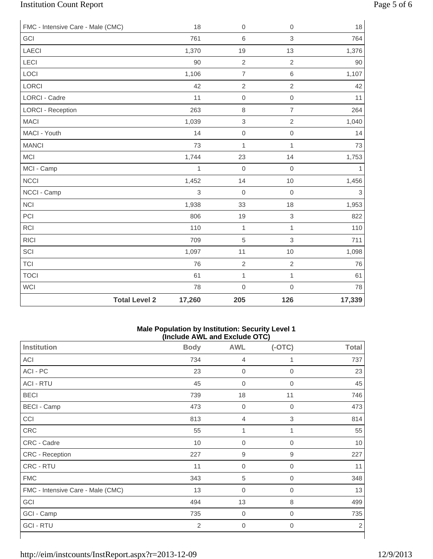# Institution Count Report Page 5 of 6

| FMC - Intensive Care - Male (CMC) |                      | 18           | $\boldsymbol{0}$ | $\boldsymbol{0}$ | 18             |
|-----------------------------------|----------------------|--------------|------------------|------------------|----------------|
| GCI                               |                      | 761          | $\,6$            | 3                | 764            |
| <b>LAECI</b>                      |                      | 1,370        | 19               | 13               | 1,376          |
| <b>LECI</b>                       |                      | 90           | $\overline{2}$   | $\sqrt{2}$       | 90             |
| LOCI                              |                      | 1,106        | $\overline{7}$   | $\,$ 6 $\,$      | 1,107          |
| LORCI                             |                      | 42           | $\sqrt{2}$       | $\overline{2}$   | 42             |
| <b>LORCI - Cadre</b>              |                      | 11           | $\mathbf 0$      | $\mathbf 0$      | 11             |
| <b>LORCI - Reception</b>          |                      | 263          | $\,8\,$          | $\overline{7}$   | 264            |
| <b>MACI</b>                       |                      | 1,039        | $\,$ 3 $\,$      | $\overline{2}$   | 1,040          |
| MACI - Youth                      |                      | 14           | $\mathbf 0$      | $\mbox{O}$       | 14             |
| <b>MANCI</b>                      |                      | 73           | $\mathbf{1}$     | 1                | 73             |
| <b>MCI</b>                        |                      | 1,744        | 23               | 14               | 1,753          |
| MCI - Camp                        |                      | $\mathbf{1}$ | $\mathbf 0$      | $\mathbf 0$      | $\mathbf{1}$   |
| <b>NCCI</b>                       |                      | 1,452        | 14               | $10$             | 1,456          |
| NCCI - Camp                       |                      | $\mathsf 3$  | $\boldsymbol{0}$ | $\mathbf 0$      | $\mathfrak{S}$ |
| <b>NCI</b>                        |                      | 1,938        | 33               | 18               | 1,953          |
| PCI                               |                      | 806          | 19               | $\,$ 3 $\,$      | 822            |
| <b>RCI</b>                        |                      | 110          | $\mathbf{1}$     | $\mathbf{1}$     | 110            |
| <b>RICI</b>                       |                      | 709          | $\sqrt{5}$       | 3                | 711            |
| SCI                               |                      | 1,097        | 11               | 10               | 1,098          |
| <b>TCI</b>                        |                      | 76           | $\overline{2}$   | $\overline{2}$   | 76             |
| <b>TOCI</b>                       |                      | 61           | $\mathbf{1}$     | $\mathbf{1}$     | 61             |
| <b>WCI</b>                        |                      | 78           | $\mathbf 0$      | $\mathbf 0$      | 78             |
|                                   | <b>Total Level 2</b> | 17,260       | 205              | 126              | 17,339         |

### **Male Population by Institution: Security Level 1 (Include AWL and Exclude OTC)**

| Institution                       | <b>Body</b> | <b>AWL</b>       | $(-OTC)$         | <b>Total</b>   |
|-----------------------------------|-------------|------------------|------------------|----------------|
| ACI                               | 734         | $\overline{4}$   | 1                | 737            |
| ACI - PC                          | 23          | $\boldsymbol{0}$ | $\overline{0}$   | 23             |
| <b>ACI - RTU</b>                  | 45          | $\overline{0}$   | $\mathbf 0$      | 45             |
| <b>BECI</b>                       | 739         | 18               | 11               | 746            |
| <b>BECI - Camp</b>                | 473         | $\mathbf 0$      | 0                | 473            |
| CCI                               | 813         | $\overline{4}$   | $\mathfrak{Z}$   | 814            |
| CRC                               | 55          | 1                | 1                | 55             |
| CRC - Cadre                       | 10          | $\boldsymbol{0}$ | $\mathbf 0$      | 10             |
| CRC - Reception                   | 227         | $\hbox{9}$       | 9                | 227            |
| CRC - RTU                         | 11          | $\mathbf 0$      | 0                | 11             |
| <b>FMC</b>                        | 343         | 5                | $\overline{0}$   | 348            |
| FMC - Intensive Care - Male (CMC) | 13          | $\boldsymbol{0}$ | 0                | 13             |
| GCI                               | 494         | 13               | 8                | 499            |
| GCI - Camp                        | 735         | $\boldsymbol{0}$ | $\boldsymbol{0}$ | 735            |
| <b>GCI - RTU</b>                  | 2           | $\boldsymbol{0}$ | $\boldsymbol{0}$ | $\overline{2}$ |
|                                   |             |                  |                  |                |